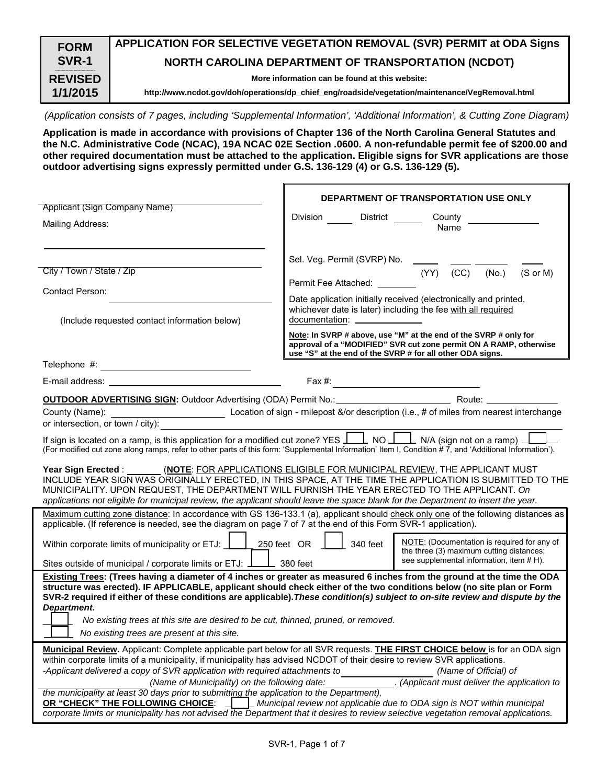| <b>FORM</b><br>SVR-1       | APPLICATION FOR SELECTIVE VEGETATION REMOVAL (SVR) PERMIT at ODA Signs<br><b>NORTH CAROLINA DEPARTMENT OF TRANSPORTATION (NCDOT)</b> |
|----------------------------|--------------------------------------------------------------------------------------------------------------------------------------|
| <b>REVISED</b><br>1/1/2015 | More information can be found at this website:                                                                                       |
|                            | http://www.ncdot.gov/doh/operations/dp_chief_eng/roadside/vegetation/maintenance/VegRemoval.html                                     |

*(Application consists of 7 pages, including 'Supplemental Information', 'Additional Information', & Cutting Zone Diagram)* 

**Application is made in accordance with provisions of Chapter 136 of the North Carolina General Statutes and the N.C. Administrative Code (NCAC), 19A NCAC 02E Section .0600. A non-refundable permit fee of \$200.00 and other required documentation must be attached to the application. Eligible signs for SVR applications are those outdoor advertising signs expressly permitted under G.S. 136-129 (4) or G.S. 136-129 (5).** 

|                                                                                                                                                                                                                                                                                                                                                                                                    | DEPARTMENT OF TRANSPORTATION USE ONLY                                                                                                                                                                                                                                                                                                                                                                                                                   |  |  |  |  |
|----------------------------------------------------------------------------------------------------------------------------------------------------------------------------------------------------------------------------------------------------------------------------------------------------------------------------------------------------------------------------------------------------|---------------------------------------------------------------------------------------------------------------------------------------------------------------------------------------------------------------------------------------------------------------------------------------------------------------------------------------------------------------------------------------------------------------------------------------------------------|--|--|--|--|
| Applicant (Sign Company Name)                                                                                                                                                                                                                                                                                                                                                                      |                                                                                                                                                                                                                                                                                                                                                                                                                                                         |  |  |  |  |
| Mailing Address:                                                                                                                                                                                                                                                                                                                                                                                   | Division District<br>County<br>Name                                                                                                                                                                                                                                                                                                                                                                                                                     |  |  |  |  |
|                                                                                                                                                                                                                                                                                                                                                                                                    | Sel. Veg. Permit (SVRP) No. _                                                                                                                                                                                                                                                                                                                                                                                                                           |  |  |  |  |
| City / Town / State / Zip                                                                                                                                                                                                                                                                                                                                                                          | $(YY)$ $(CC)$<br>(S or M)<br>(No.)<br>Permit Fee Attached:                                                                                                                                                                                                                                                                                                                                                                                              |  |  |  |  |
| <b>Contact Person:</b>                                                                                                                                                                                                                                                                                                                                                                             |                                                                                                                                                                                                                                                                                                                                                                                                                                                         |  |  |  |  |
| (Include requested contact information below)                                                                                                                                                                                                                                                                                                                                                      | Date application initially received (electronically and printed,<br>whichever date is later) including the fee with all required<br>documentation: ________________                                                                                                                                                                                                                                                                                     |  |  |  |  |
|                                                                                                                                                                                                                                                                                                                                                                                                    | Note: In SVRP # above, use "M" at the end of the SVRP # only for<br>approval of a "MODIFIED" SVR cut zone permit ON A RAMP, otherwise<br>use "S" at the end of the SVRP # for all other ODA signs.                                                                                                                                                                                                                                                      |  |  |  |  |
|                                                                                                                                                                                                                                                                                                                                                                                                    |                                                                                                                                                                                                                                                                                                                                                                                                                                                         |  |  |  |  |
| E-mail address: the contract of the contract of the contract of the contract of the contract of the contract of the contract of the contract of the contract of the contract of the contract of the contract of the contract o                                                                                                                                                                     | Fax #: $\qquad \qquad$                                                                                                                                                                                                                                                                                                                                                                                                                                  |  |  |  |  |
|                                                                                                                                                                                                                                                                                                                                                                                                    | <b>OUTDOOR ADVERTISING SIGN:</b> Outdoor Advertising (ODA) Permit No.: Route: Route:                                                                                                                                                                                                                                                                                                                                                                    |  |  |  |  |
| or intersection, or town / city):                                                                                                                                                                                                                                                                                                                                                                  |                                                                                                                                                                                                                                                                                                                                                                                                                                                         |  |  |  |  |
|                                                                                                                                                                                                                                                                                                                                                                                                    | If sign is located on a ramp, is this application for a modified cut zone? YES $\perp$ NO $\perp$ N/A (sign not on a ramp) $\perp$<br>(For modified cut zone along ramps, refer to other parts of this form: 'Supplemental Information' Item I, Condition # 7, and 'Additional Information').                                                                                                                                                           |  |  |  |  |
|                                                                                                                                                                                                                                                                                                                                                                                                    | Year Sign Erected : _______ (NOTE: FOR APPLICATIONS ELIGIBLE FOR MUNICIPAL REVIEW, THE APPLICANT MUST<br>INCLUDE YEAR SIGN WAS ORIGINALLY ERECTED, IN THIS SPACE, AT THE TIME THE APPLICATION IS SUBMITTED TO THE<br>MUNICIPALITY. UPON REQUEST, THE DEPARTMENT WILL FURNISH THE YEAR ERECTED TO THE APPLICANT. On<br>applications not eligible for municipal review, the applicant should leave the space blank for the Department to insert the year. |  |  |  |  |
| applicable. (If reference is needed, see the diagram on page 7 of 7 at the end of this Form SVR-1 application).                                                                                                                                                                                                                                                                                    | Maximum cutting zone distance: In accordance with GS 136-133.1 (a), applicant should check only one of the following distances as                                                                                                                                                                                                                                                                                                                       |  |  |  |  |
|                                                                                                                                                                                                                                                                                                                                                                                                    |                                                                                                                                                                                                                                                                                                                                                                                                                                                         |  |  |  |  |
| Within corporate limits of municipality or ETJ: $\boxed{\phantom{256}250}$ feet OR $\phantom{256}$ 340 feet                                                                                                                                                                                                                                                                                        | NOTE: (Documentation is required for any of<br>the three (3) maximum cutting distances;<br>see supplemental information, item # H).                                                                                                                                                                                                                                                                                                                     |  |  |  |  |
| Sites outside of municipal / corporate limits or ETJ: $\perp$ 380 feet                                                                                                                                                                                                                                                                                                                             |                                                                                                                                                                                                                                                                                                                                                                                                                                                         |  |  |  |  |
| Existing Trees: (Trees having a diameter of 4 inches or greater as measured 6 inches from the ground at the time the ODA<br>structure was erected). IF APPLICABLE, applicant should check either of the two conditions below (no site plan or Form<br>SVR-2 required if either of these conditions are applicable). These condition(s) subject to on-site review and dispute by the<br>Department. |                                                                                                                                                                                                                                                                                                                                                                                                                                                         |  |  |  |  |
| No existing trees at this site are desired to be cut, thinned, pruned, or removed.                                                                                                                                                                                                                                                                                                                 |                                                                                                                                                                                                                                                                                                                                                                                                                                                         |  |  |  |  |
| No existing trees are present at this site.                                                                                                                                                                                                                                                                                                                                                        |                                                                                                                                                                                                                                                                                                                                                                                                                                                         |  |  |  |  |
| within corporate limits of a municipality, if municipality has advised NCDOT of their desire to review SVR applications.                                                                                                                                                                                                                                                                           | Municipal Review. Applicant: Complete applicable part below for all SVR requests. THE FIRST CHOICE below is for an ODA sign                                                                                                                                                                                                                                                                                                                             |  |  |  |  |
| -Applicant delivered a copy of SVR application with required attachments to                                                                                                                                                                                                                                                                                                                        | (Name of Official) of                                                                                                                                                                                                                                                                                                                                                                                                                                   |  |  |  |  |
| (Name of Municipality) on the following date:                                                                                                                                                                                                                                                                                                                                                      | . (Applicant must deliver the application to                                                                                                                                                                                                                                                                                                                                                                                                            |  |  |  |  |
| the municipality at least 30 days prior to submitting the application to the Department),<br>OR "CHECK" THE FOLLOWING CHOICE:                                                                                                                                                                                                                                                                      | Municipal review not applicable due to ODA sign is NOT within municipal                                                                                                                                                                                                                                                                                                                                                                                 |  |  |  |  |
|                                                                                                                                                                                                                                                                                                                                                                                                    | corporate limits or municipality has not advised the Department that it desires to review selective vegetation removal applications.                                                                                                                                                                                                                                                                                                                    |  |  |  |  |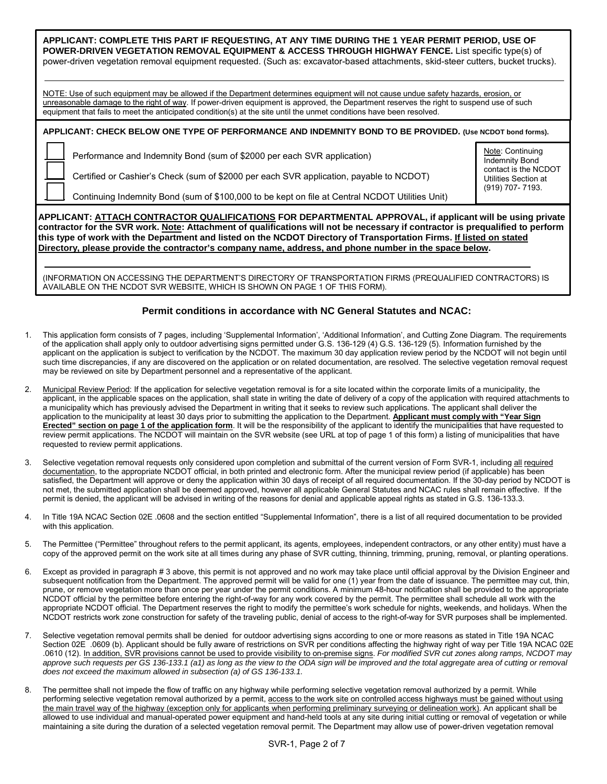| APPLICANT: COMPLETE THIS PART IF REQUESTING, AT ANY TIME DURING THE 1 YEAR PERMIT PERIOD, USE OF<br>POWER-DRIVEN VEGETATION REMOVAL EQUIPMENT & ACCESS THROUGH HIGHWAY FENCE. List specific type(s) of<br>power-driven vegetation removal equipment requested. (Such as: excavator-based attachments, skid-steer cutters, bucket trucks).                                                              |                                                                   |  |  |  |  |
|--------------------------------------------------------------------------------------------------------------------------------------------------------------------------------------------------------------------------------------------------------------------------------------------------------------------------------------------------------------------------------------------------------|-------------------------------------------------------------------|--|--|--|--|
| NOTE: Use of such equipment may be allowed if the Department determines equipment will not cause undue safety hazards, erosion, or<br>unreasonable damage to the right of way. If power-driven equipment is approved, the Department reserves the right to suspend use of such<br>equipment that fails to meet the anticipated condition(s) at the site until the unmet conditions have been resolved. |                                                                   |  |  |  |  |
| APPLICANT: CHECK BELOW ONE TYPE OF PERFORMANCE AND INDEMNITY BOND TO BE PROVIDED. (Use NCDOT bond forms).                                                                                                                                                                                                                                                                                              |                                                                   |  |  |  |  |
| Performance and Indemnity Bond (sum of \$2000 per each SVR application)                                                                                                                                                                                                                                                                                                                                | Note: Continuing<br><b>Indemnity Bond</b><br>contact is the NCDOT |  |  |  |  |
| Certified or Cashier's Check (sum of \$2000 per each SVR application, payable to NCDOT)<br>Continuing Indemnity Bond (sum of \$100,000 to be kept on file at Central NCDOT Utilities Unit)                                                                                                                                                                                                             | Utilities Section at<br>(919) 707-7193.                           |  |  |  |  |

**APPLICANT: ATTACH CONTRACTOR QUALIFICATIONS FOR DEPARTMENTAL APPROVAL, if applicant will be using private contractor for the SVR work. Note: Attachment of qualifications will not be necessary if contractor is prequalified to perform this type of work with the Department and listed on the NCDOT Directory of Transportation Firms. If listed on stated Directory, please provide the contractor's company name, address, and phone number in the space below.** 

(INFORMATION ON ACCESSING THE DEPARTMENT'S DIRECTORY OF TRANSPORTATION FIRMS (PREQUALIFIED CONTRACTORS) IS AVAILABLE ON THE NCDOT SVR WEBSITE, WHICH IS SHOWN ON PAGE 1 OF THIS FORM).

## **Permit conditions in accordance with NC General Statutes and NCAC:**

- 1. This application form consists of 7 pages, including 'Supplemental Information', 'Additional Information', and Cutting Zone Diagram. The requirements of the application shall apply only to outdoor advertising signs permitted under G.S. 136-129 (4) G.S. 136-129 (5). Information furnished by the applicant on the application is subject to verification by the NCDOT. The maximum 30 day application review period by the NCDOT will not begin until such time discrepancies, if any are discovered on the application or on related documentation, are resolved. The selective vegetation removal request may be reviewed on site by Department personnel and a representative of the applicant.
- 2. Municipal Review Period: If the application for selective vegetation removal is for a site located within the corporate limits of a municipality, the applicant, in the applicable spaces on the application, shall state in writing the date of delivery of a copy of the application with required attachments to a municipality which has previously advised the Department in writing that it seeks to review such applications. The applicant shall deliver the application to the municipality at least 30 days prior to submitting the application to the Department. **Applicant must comply with "Year Sign Erected" section on page 1 of the application form**. It will be the responsibility of the applicant to identify the municipalities that have requested to review permit applications. The NCDOT will maintain on the SVR website (see URL at top of page 1 of this form) a listing of municipalities that have requested to review permit applications.
- Selective vegetation removal requests only considered upon completion and submittal of the current version of Form SVR-1, including all required documentation, to the appropriate NCDOT official, in both printed and electronic form. After the municipal review period (if applicable) has been satisfied, the Department will approve or deny the application within 30 days of receipt of all required documentation. If the 30-day period by NCDOT is not met, the submitted application shall be deemed approved, however all applicable General Statutes and NCAC rules shall remain effective. If the permit is denied, the applicant will be advised in writing of the reasons for denial and applicable appeal rights as stated in G.S. 136-133.3.
- 4. In Title 19A NCAC Section 02E .0608 and the section entitled "Supplemental Information", there is a list of all required documentation to be provided with this application.
- 5. The Permittee ("Permittee" throughout refers to the permit applicant, its agents, employees, independent contractors, or any other entity) must have a copy of the approved permit on the work site at all times during any phase of SVR cutting, thinning, trimming, pruning, removal, or planting operations.
- 6. Except as provided in paragraph # 3 above, this permit is not approved and no work may take place until official approval by the Division Engineer and subsequent notification from the Department. The approved permit will be valid for one (1) year from the date of issuance. The permittee may cut, thin, prune, or remove vegetation more than once per year under the permit conditions. A minimum 48-hour notification shall be provided to the appropriate NCDOT official by the permittee before entering the right-of-way for any work covered by the permit. The permittee shall schedule all work with the appropriate NCDOT official. The Department reserves the right to modify the permittee's work schedule for nights, weekends, and holidays. When the NCDOT restricts work zone construction for safety of the traveling public, denial of access to the right-of-way for SVR purposes shall be implemented.
- 7. Selective vegetation removal permits shall be denied for outdoor advertising signs according to one or more reasons as stated in Title 19A NCAC Section 02E .0609 (b). Applicant should be fully aware of restrictions on SVR per conditions affecting the highway right of way per Title 19A NCAC 02E .0610 (12). In addition, SVR provisions cannot be used to provide visibility to on-premise signs. *For modified SVR cut zones along ramps, NCDOT may approve such requests per GS 136-133.1 (a1) as long as the view to the ODA sign will be improved and the total aggregate area of cutting or removal does not exceed the maximum allowed in subsection (a) of GS 136-133.1.*
- 8. The permittee shall not impede the flow of traffic on any highway while performing selective vegetation removal authorized by a permit. While performing selective vegetation removal authorized by a permit, access to the work site on controlled access highways must be gained without using the main travel way of the highway (exception only for applicants when performing preliminary surveying or delineation work). An applicant shall be allowed to use individual and manual-operated power equipment and hand-held tools at any site during initial cutting or removal of vegetation or while maintaining a site during the duration of a selected vegetation removal permit. The Department may allow use of power-driven vegetation removal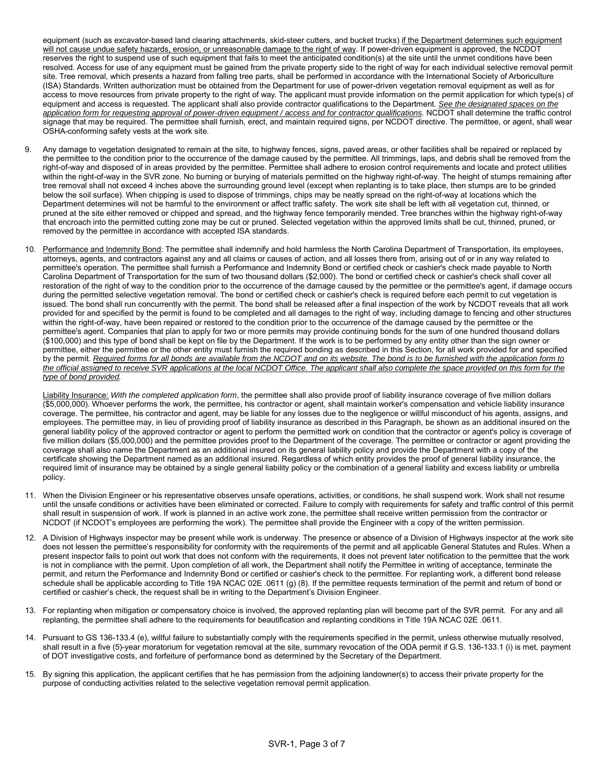equipment (such as excavator-based land clearing attachments, skid-steer cutters, and bucket trucks) if the Department determines such equipment will not cause undue safety hazards, erosion, or unreasonable damage to the right of way. If power-driven equipment is approved, the NCDOT reserves the right to suspend use of such equipment that fails to meet the anticipated condition(s) at the site until the unmet conditions have been resolved. Access for use of any equipment must be gained from the private property side to the right of way for each individual selective removal permit site. Tree removal, which presents a hazard from falling tree parts, shall be performed in accordance with the International Society of Arboriculture (ISA) Standards. Written authorization must be obtained from the Department for use of power-driven vegetation removal equipment as well as for access to move resources from private property to the right of way. The applicant must provide information on the permit application for which type(s) of equipment and access is requested. The applicant shall also provide contractor qualifications to the Department. *See the designated spaces on the application form for requesting approval of power-driven equipment / access and for contractor qualifications.* NCDOT shall determine the traffic control signage that may be required. The permittee shall furnish, erect, and maintain required signs, per NCDOT directive. The permittee, or agent, shall wear OSHA-conforming safety vests at the work site.

- 9. Any damage to vegetation designated to remain at the site, to highway fences, signs, paved areas, or other facilities shall be repaired or replaced by the permittee to the condition prior to the occurrence of the damage caused by the permittee. All trimmings, laps, and debris shall be removed from the right-of-way and disposed of in areas provided by the permittee. Permittee shall adhere to erosion control requirements and locate and protect utilities within the right-of-way in the SVR zone. No burning or burying of materials permitted on the highway right-of-way. The height of stumps remaining after tree removal shall not exceed 4 inches above the surrounding ground level (except when replanting is to take place, then stumps are to be grinded below the soil surface). When chipping is used to dispose of trimmings, chips may be neatly spread on the right-of-way at locations which the Department determines will not be harmful to the environment or affect traffic safety. The work site shall be left with all vegetation cut, thinned, or pruned at the site either removed or chipped and spread, and the highway fence temporarily mended. Tree branches within the highway right-of-way that encroach into the permitted cutting zone may be cut or pruned. Selected vegetation within the approved limits shall be cut, thinned, pruned, or removed by the permittee in accordance with accepted ISA standards.
- 10. Performance and Indemnity Bond: The permittee shall indemnify and hold harmless the North Carolina Department of Transportation, its employees, attorneys, agents, and contractors against any and all claims or causes of action, and all losses there from, arising out of or in any way related to permittee's operation. The permittee shall furnish a Performance and Indemnity Bond or certified check or cashier's check made payable to North Carolina Department of Transportation for the sum of two thousand dollars (\$2,000). The bond or certified check or cashier's check shall cover all restoration of the right of way to the condition prior to the occurrence of the damage caused by the permittee or the permittee's agent, if damage occurs during the permitted selective vegetation removal. The bond or certified check or cashier's check is required before each permit to cut vegetation is issued. The bond shall run concurrently with the permit. The bond shall be released after a final inspection of the work by NCDOT reveals that all work provided for and specified by the permit is found to be completed and all damages to the right of way, including damage to fencing and other structures within the right-of-way, have been repaired or restored to the condition prior to the occurrence of the damage caused by the permittee or the permittee's agent. Companies that plan to apply for two or more permits may provide continuing bonds for the sum of one hundred thousand dollars (\$100,000) and this type of bond shall be kept on file by the Department. If the work is to be performed by any entity other than the sign owner or permittee, either the permittee or the other entity must furnish the required bonding as described in this Section, for all work provided for and specified by the permit. *Required forms for all bonds are available from the NCDOT and on its website. The bond is to be furnished with the application form to the official assigned to receive SVR applications at the local NCDOT Office. The applicant shall also complete the space provided on this form for the type of bond provided.*

Liability Insurance: *With the completed application form*, the permittee shall also provide proof of liability insurance coverage of five million dollars (\$5,000,000). Whoever performs the work, the permittee, his contractor or agent, shall maintain worker's compensation and vehicle liability insurance coverage. The permittee, his contractor and agent, may be liable for any losses due to the negligence or willful misconduct of his agents, assigns, and employees. The permittee may, in lieu of providing proof of liability insurance as described in this Paragraph, be shown as an additional insured on the general liability policy of the approved contractor or agent to perform the permitted work on condition that the contractor or agent's policy is coverage of five million dollars (\$5,000,000) and the permittee provides proof to the Department of the coverage. The permittee or contractor or agent providing the coverage shall also name the Department as an additional insured on its general liability policy and provide the Department with a copy of the certificate showing the Department named as an additional insured. Regardless of which entity provides the proof of general liability insurance, the required limit of insurance may be obtained by a single general liability policy or the combination of a general liability and excess liability or umbrella policy.

- 11. When the Division Engineer or his representative observes unsafe operations, activities, or conditions, he shall suspend work. Work shall not resume until the unsafe conditions or activities have been eliminated or corrected. Failure to comply with requirements for safety and traffic control of this permit shall result in suspension of work. If work is planned in an active work zone, the permittee shall receive written permission from the contractor or NCDOT (if NCDOT's employees are performing the work). The permittee shall provide the Engineer with a copy of the written permission.
- 12. A Division of Highways inspector may be present while work is underway. The presence or absence of a Division of Highways inspector at the work site does not lessen the permittee's responsibility for conformity with the requirements of the permit and all applicable General Statutes and Rules. When a present inspector fails to point out work that does not conform with the requirements, it does not prevent later notification to the permittee that the work is not in compliance with the permit. Upon completion of all work, the Department shall notify the Permittee in writing of acceptance, terminate the permit, and return the Performance and Indemnity Bond or certified or cashier's check to the permittee. For replanting work, a different bond release schedule shall be applicable according to Title 19A NCAC 02E .0611 (g) (8). If the permittee requests termination of the permit and return of bond or certified or cashier's check, the request shall be in writing to the Department's Division Engineer.
- 13. For replanting when mitigation or compensatory choice is involved, the approved replanting plan will become part of the SVR permit. For any and all replanting, the permittee shall adhere to the requirements for beautification and replanting conditions in Title 19A NCAC 02E .0611.
- 14. Pursuant to GS 136-133.4 (e), willful failure to substantially comply with the requirements specified in the permit, unless otherwise mutually resolved, shall result in a five (5)-year moratorium for vegetation removal at the site, summary revocation of the ODA permit if G.S. 136-133.1 (i) is met, payment of DOT investigative costs, and forfeiture of performance bond as determined by the Secretary of the Department.
- 15. By signing this application, the applicant certifies that he has permission from the adjoining landowner(s) to access their private property for the purpose of conducting activities related to the selective vegetation removal permit application.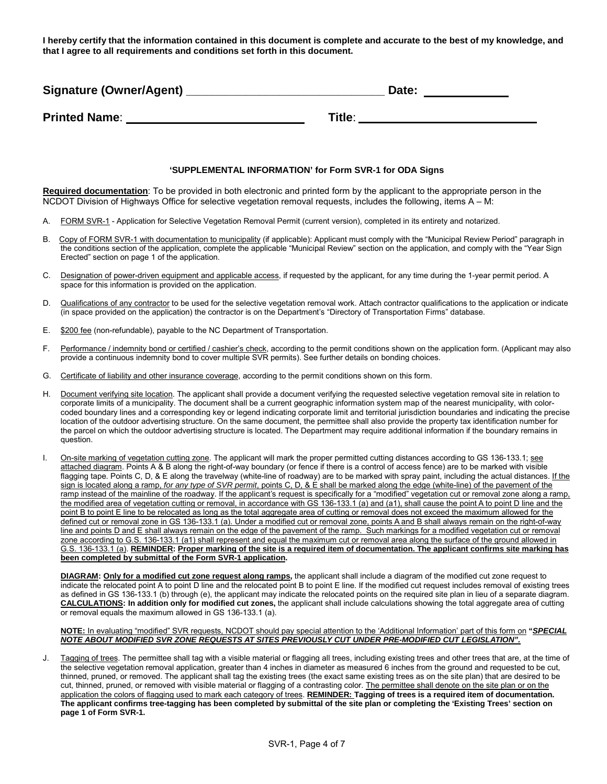**I hereby certify that the information contained in this document is complete and accurate to the best of my knowledge, and that I agree to all requirements and conditions set forth in this document.**

| Signature (Owner/Agent) | Date:  |
|-------------------------|--------|
| <b>Printed Name:</b>    | Title: |

#### **'SUPPLEMENTAL INFORMATION' for Form SVR-1 for ODA Signs**

**Required documentation**: To be provided in both electronic and printed form by the applicant to the appropriate person in the NCDOT Division of Highways Office for selective vegetation removal requests, includes the following, items A – M:

- A. FORM SVR-1 Application for Selective Vegetation Removal Permit (current version), completed in its entirety and notarized.
- B. Copy of FORM SVR-1 with documentation to municipality (if applicable): Applicant must comply with the "Municipal Review Period" paragraph in the conditions section of the application, complete the applicable "Municipal Review" section on the application, and comply with the "Year Sign Erected" section on page 1 of the application.
- C. Designation of power-driven equipment and applicable access, if requested by the applicant, for any time during the 1-year permit period. A space for this information is provided on the application.
- D. Qualifications of any contractor to be used for the selective vegetation removal work. Attach contractor qualifications to the application or indicate (in space provided on the application) the contractor is on the Department's "Directory of Transportation Firms" database.
- E. \$200 fee (non-refundable), payable to the NC Department of Transportation.
- F. Performance / indemnity bond or certified / cashier's check, according to the permit conditions shown on the application form. (Applicant may also provide a continuous indemnity bond to cover multiple SVR permits). See further details on bonding choices.
- G. Certificate of liability and other insurance coverage, according to the permit conditions shown on this form.
- H. Document verifying site location. The applicant shall provide a document verifying the requested selective vegetation removal site in relation to corporate limits of a municipality. The document shall be a current geographic information system map of the nearest municipality, with colorcoded boundary lines and a corresponding key or legend indicating corporate limit and territorial jurisdiction boundaries and indicating the precise location of the outdoor advertising structure. On the same document, the permittee shall also provide the property tax identification number for the parcel on which the outdoor advertising structure is located. The Department may require additional information if the boundary remains in question.
- I. On-site marking of vegetation cutting zone. The applicant will mark the proper permitted cutting distances according to GS 136-133.1; see attached diagram. Points A & B along the right-of-way boundary (or fence if there is a control of access fence) are to be marked with visible flagging tape. Points C, D, & E along the travelway (white-line of roadway) are to be marked with spray paint, including the actual distances. If the sign is located along a ramp, *for any type of SVR permit*, points C, D, & E shall be marked along the edge (white-line) of the pavement of the ramp instead of the mainline of the roadway. If the applicant's request is specifically for a "modified" vegetation cut or removal zone along a ramp, the modified area of vegetation cutting or removal, in accordance with GS 136-133.1 (a) and (a1), shall cause the point A to point D line and the point B to point E line to be relocated as long as the total aggregate area of cutting or removal does not exceed the maximum allowed for the defined cut or removal zone in GS 136-133.1 (a). Under a modified cut or removal zone, points A and B shall always remain on the right-of-way line and points D and E shall always remain on the edge of the pavement of the ramp. Such markings for a modified vegetation cut or removal zone according to G.S. 136-133.1 (a1) shall represent and equal the maximum cut or removal area along the surface of the ground allowed in G.S. 136-133.1 (a). **REMINDER: Proper marking of the site is a required item of documentation. The applicant confirms site marking has been completed by submittal of the Form SVR-1 application.**

**DIAGRAM: Only for a modified cut zone request along ramps,** the applicant shall include a diagram of the modified cut zone request to indicate the relocated point A to point D line and the relocated point B to point E line. If the modified cut request includes removal of existing trees as defined in GS 136-133.1 (b) through (e), the applicant may indicate the relocated points on the required site plan in lieu of a separate diagram. **CALCULATIONS: In addition only for modified cut zones,** the applicant shall include calculations showing the total aggregate area of cutting or removal equals the maximum allowed in GS 136-133.1 (a).

#### **NOTE:** In evaluating "modified" SVR requests, NCDOT should pay special attention to the 'Additional Information' part of this form on **"***SPECIAL NOTE ABOUT MODIFIED SVR ZONE REQUESTS AT SITES PREVIOUSLY CUT UNDER PRE-MODIFIED CUT LEGISLATION".*

J. Tagging of trees. The permittee shall tag with a visible material or flagging all trees, including existing trees and other trees that are, at the time of the selective vegetation removal application, greater than 4 inches in diameter as measured 6 inches from the ground and requested to be cut, thinned, pruned, or removed. The applicant shall tag the existing trees (the exact same existing trees as on the site plan) that are desired to be cut, thinned, pruned, or removed with visible material or flagging of a contrasting color. The permittee shall denote on the site plan or on the application the colors of flagging used to mark each category of trees. **REMINDER: Tagging of trees is a required item of documentation. The applicant confirms tree-tagging has been completed by submittal of the site plan or completing the 'Existing Trees' section on page 1 of Form SVR-1.**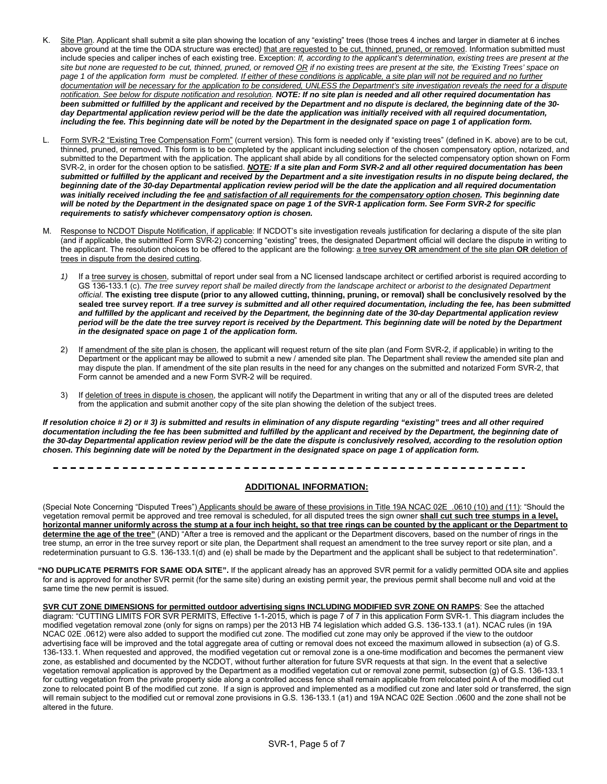- K. Site Plan. Applicant shall submit a site plan showing the location of any "existing" trees (those trees 4 inches and larger in diameter at 6 inches above ground at the time the ODA structure was erected) that are requested to be cut, thinned, pruned, or removed. Information submitted must include species and caliper inches of each existing tree. Exception: *If, according to the applicant's determination, existing trees are present at the site but none are requested to be cut, thinned, pruned, or removed OR if no existing trees are present at the site, the 'Existing Trees' space on*  page 1 of the application form must be completed. If either of these conditions is applicable, a site plan will not be required and no further documentation will be necessary for the application to be considered, UNLESS the Department's site investigation reveals the need for a dispute *notification. See below for dispute notification and resolution. NOTE: If no site plan is needed and all other required documentation has been submitted or fulfilled by the applicant and received by the Department and no dispute is declared, the beginning date of the 30 day Departmental application review period will be the date the application was initially received with all required documentation, including the fee. This beginning date will be noted by the Department in the designated space on page 1 of application form.*
- L. Form SVR-2 "Existing Tree Compensation Form" (current version). This form is needed only if "existing trees" (defined in K. above) are to be cut, thinned, pruned, or removed. This form is to be completed by the applicant including selection of the chosen compensatory option, notarized, and submitted to the Department with the application. The applicant shall abide by all conditions for the selected compensatory option shown on Form SVR-2, in order for the chosen option to be satisfied. *NOTE: If a site plan and Form SVR-2 and all other required documentation has been submitted or fulfilled by the applicant and received by the Department and a site investigation results in no dispute being declared, the beginning date of the 30-day Departmental application review period will be the date the application and all required documentation was initially received including the fee and satisfaction of all requirements for the compensatory option chosen. This beginning date will be noted by the Department in the designated space on page 1 of the SVR-1 application form. See Form SVR-2 for specific requirements to satisfy whichever compensatory option is chosen.*
- M. Response to NCDOT Dispute Notification, if applicable: If NCDOT's site investigation reveals justification for declaring a dispute of the site plan (and if applicable, the submitted Form SVR-2) concerning "existing" trees, the designated Department official will declare the dispute in writing to the applicant. The resolution choices to be offered to the applicant are the following: a tree survey **OR** amendment of the site plan **OR** deletion of trees in dispute from the desired cutting.
	- 1) If a tree survey is chosen, submittal of report under seal from a NC licensed landscape architect or certified arborist is required according to GS 136-133.1 (c). The tree survey report shall be mailed directly from the landscape architect or arborist to the designated Department *official*. **The existing tree dispute (prior to any allowed cutting, thinning, pruning, or removal) shall be conclusively resolved by the sealed tree survey report**. *If a tree survey is submitted and all other required documentation, including the fee, has been submitted and fulfilled by the applicant and received by the Department, the beginning date of the 30-day Departmental application review period will be the date the tree survey report is received by the Department. This beginning date will be noted by the Department in the designated space on page 1 of the application form.*
	- 2) If amendment of the site plan is chosen, the applicant will request return of the site plan (and Form SVR-2, if applicable) in writing to the Department or the applicant may be allowed to submit a new / amended site plan. The Department shall review the amended site plan and may dispute the plan. If amendment of the site plan results in the need for any changes on the submitted and notarized Form SVR-2, that Form cannot be amended and a new Form SVR-2 will be required.
	- 3) If deletion of trees in dispute is chosen, the applicant will notify the Department in writing that any or all of the disputed trees are deleted from the application and submit another copy of the site plan showing the deletion of the subject trees.

*If resolution choice # 2) or # 3) is submitted and results in elimination of any dispute regarding "existing" trees and all other required*  documentation including the fee has been submitted and fulfilled by the applicant and received by the Department, the beginning date of *the 30-day Departmental application review period will be the date the dispute is conclusively resolved, according to the resolution option chosen. This beginning date will be noted by the Department in the designated space on page 1 of application form.* 

#### **ADDITIONAL INFORMATION:**

(Special Note Concerning "Disputed Trees") Applicants should be aware of these provisions in Title 19A NCAC 02E .0610 (10) and (11): "Should the vegetation removal permit be approved and tree removal is scheduled, for all disputed trees the sign owner **shall cut such tree stumps in a level, horizontal manner uniformly across the stump at a four inch height, so that tree rings can be counted by the applicant or the Department to determine the age of the tree"** (AND) "After a tree is removed and the applicant or the Department discovers, based on the number of rings in the tree stump, an error in the tree survey report or site plan, the Department shall request an amendment to the tree survey report or site plan, and a redetermination pursuant to G.S. 136-133.1(d) and (e) shall be made by the Department and the applicant shall be subject to that redetermination".

 **"NO DUPLICATE PERMITS FOR SAME ODA SITE".** If the applicant already has an approved SVR permit for a validly permitted ODA site and applies for and is approved for another SVR permit (for the same site) during an existing permit year, the previous permit shall become null and void at the same time the new permit is issued.

**SVR CUT ZONE DIMENSIONS for permitted outdoor advertising signs INCLUDING MODIFIED SVR ZONE ON RAMPS**: See the attached diagram: "CUTTING LIMITS FOR SVR PERMITS, Effective 1-1-2015, which is page 7 of 7 in this application Form SVR-1. This diagram includes the modified vegetation removal zone (only for signs on ramps) per the 2013 HB 74 legislation which added G.S. 136-133.1 (a1). NCAC rules (in 19A NCAC 02E .0612) were also added to support the modified cut zone. The modified cut zone may only be approved if the view to the outdoor advertising face will be improved and the total aggregate area of cutting or removal does not exceed the maximum allowed in subsection (a) of G.S. 136-133.1. When requested and approved, the modified vegetation cut or removal zone is a one-time modification and becomes the permanent view zone, as established and documented by the NCDOT, without further alteration for future SVR requests at that sign. In the event that a selective vegetation removal application is approved by the Department as a modified vegetation cut or removal zone permit, subsection (g) of G.S. 136-133.1 for cutting vegetation from the private property side along a controlled access fence shall remain applicable from relocated point A of the modified cut zone to relocated point B of the modified cut zone. If a sign is approved and implemented as a modified cut zone and later sold or transferred, the sign will remain subject to the modified cut or removal zone provisions in G.S. 136-133.1 (a1) and 19A NCAC 02E Section .0600 and the zone shall not be altered in the future.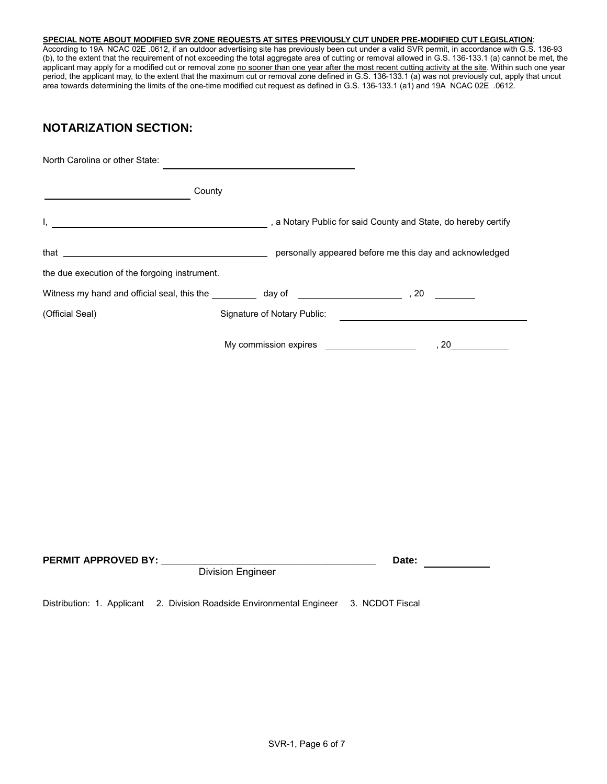## **SPECIAL NOTE ABOUT MODIFIED SVR ZONE REQUESTS AT SITES PREVIOUSLY CUT UNDER PRE-MODIFIED CUT LEGISLATION**:

According to 19A NCAC 02E .0612, if an outdoor advertising site has previously been cut under a valid SVR permit, in accordance with G.S. 136-93 (b), to the extent that the requirement of not exceeding the total aggregate area of cutting or removal allowed in G.S. 136-133.1 (a) cannot be met, the applicant may apply for a modified cut or removal zone <u>no sooner than one year after the most recent cutting activity at the site</u>. Within such one year period, the applicant may, to the extent that the maximum cut or removal zone defined in G.S. 136-133.1 (a) was not previously cut, apply that uncut area towards determining the limits of the one-time modified cut request as defined in G.S. 136-133.1 (a1) and 19A NCAC 02E .0612.

# **NOTARIZATION SECTION:**

| North Carolina or other State:                                                                                                                                                                                                |                             |                                                                |
|-------------------------------------------------------------------------------------------------------------------------------------------------------------------------------------------------------------------------------|-----------------------------|----------------------------------------------------------------|
| County                                                                                                                                                                                                                        |                             |                                                                |
| Ι,                                                                                                                                                                                                                            |                             | , a Notary Public for said County and State, do hereby certify |
| that $\overline{\phantom{a}}$                                                                                                                                                                                                 |                             | personally appeared before me this day and acknowledged        |
| the due execution of the forgoing instrument.                                                                                                                                                                                 |                             |                                                                |
| Witness my hand and official seal, this the day of the day of the state of the state of the state of the state of the state of the state of the state of the state of the state of the state of the state of the state of the |                             |                                                                |
| (Official Seal)                                                                                                                                                                                                               | Signature of Notary Public: |                                                                |
|                                                                                                                                                                                                                               | My commission expires       | 20                                                             |

| <b>PERMIT APPROVED BY:</b> | Date:                                                                                                       |  |  |
|----------------------------|-------------------------------------------------------------------------------------------------------------|--|--|
|                            | Division Engineer<br>Distribution: 1. Applicant 2. Division Roadside Environmental Engineer 3. NCDOT Fiscal |  |  |